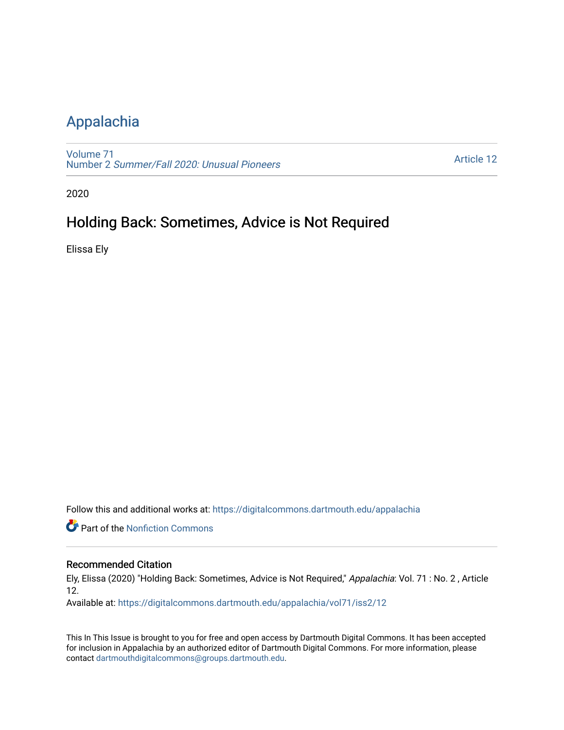## [Appalachia](https://digitalcommons.dartmouth.edu/appalachia)

[Volume 71](https://digitalcommons.dartmouth.edu/appalachia/vol71) Number 2 [Summer/Fall 2020: Unusual Pioneers](https://digitalcommons.dartmouth.edu/appalachia/vol71/iss2)

[Article 12](https://digitalcommons.dartmouth.edu/appalachia/vol71/iss2/12) 

2020

## Holding Back: Sometimes, Advice is Not Required

Elissa Ely

Follow this and additional works at: [https://digitalcommons.dartmouth.edu/appalachia](https://digitalcommons.dartmouth.edu/appalachia?utm_source=digitalcommons.dartmouth.edu%2Fappalachia%2Fvol71%2Fiss2%2F12&utm_medium=PDF&utm_campaign=PDFCoverPages)

**Part of the Nonfiction Commons** 

## Recommended Citation

Ely, Elissa (2020) "Holding Back: Sometimes, Advice is Not Required," Appalachia: Vol. 71 : No. 2 , Article 12.

Available at: [https://digitalcommons.dartmouth.edu/appalachia/vol71/iss2/12](https://digitalcommons.dartmouth.edu/appalachia/vol71/iss2/12?utm_source=digitalcommons.dartmouth.edu%2Fappalachia%2Fvol71%2Fiss2%2F12&utm_medium=PDF&utm_campaign=PDFCoverPages) 

This In This Issue is brought to you for free and open access by Dartmouth Digital Commons. It has been accepted for inclusion in Appalachia by an authorized editor of Dartmouth Digital Commons. For more information, please contact [dartmouthdigitalcommons@groups.dartmouth.edu.](mailto:dartmouthdigitalcommons@groups.dartmouth.edu)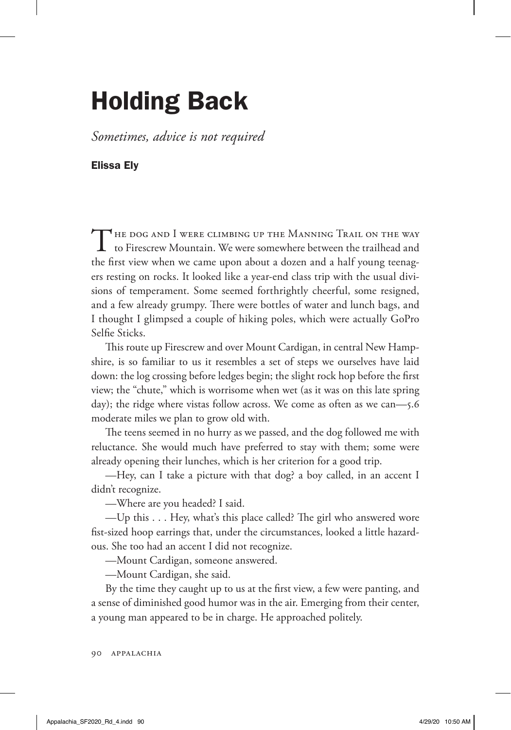## Holding Back

*Sometimes, advice is not required*

Elissa Ely

THE DOG AND I WERE CLIMBING UP THE MANNING TRAIL ON THE WAY  $\perp$  to Firescrew Mountain. We were somewhere between the trailhead and the first view when we came upon about a dozen and a half young teenagers resting on rocks. It looked like a year-end class trip with the usual divisions of temperament. Some seemed forthrightly cheerful, some resigned, and a few already grumpy. There were bottles of water and lunch bags, and I thought I glimpsed a couple of hiking poles, which were actually GoPro Selfie Sticks.

This route up Firescrew and over Mount Cardigan, in central New Hampshire, is so familiar to us it resembles a set of steps we ourselves have laid down: the log crossing before ledges begin; the slight rock hop before the first view; the "chute," which is worrisome when wet (as it was on this late spring day); the ridge where vistas follow across. We come as often as we can—5.6 moderate miles we plan to grow old with.

The teens seemed in no hurry as we passed, and the dog followed me with reluctance. She would much have preferred to stay with them; some were already opening their lunches, which is her criterion for a good trip.

—Hey, can I take a picture with that dog? a boy called, in an accent I didn't recognize.

—Where are you headed? I said.

—Up this . . . Hey, what's this place called? The girl who answered wore fist-sized hoop earrings that, under the circumstances, looked a little hazardous. She too had an accent I did not recognize.

—Mount Cardigan, someone answered.

—Mount Cardigan, she said.

By the time they caught up to us at the first view, a few were panting, and a sense of diminished good humor was in the air. Emerging from their center, a young man appeared to be in charge. He approached politely.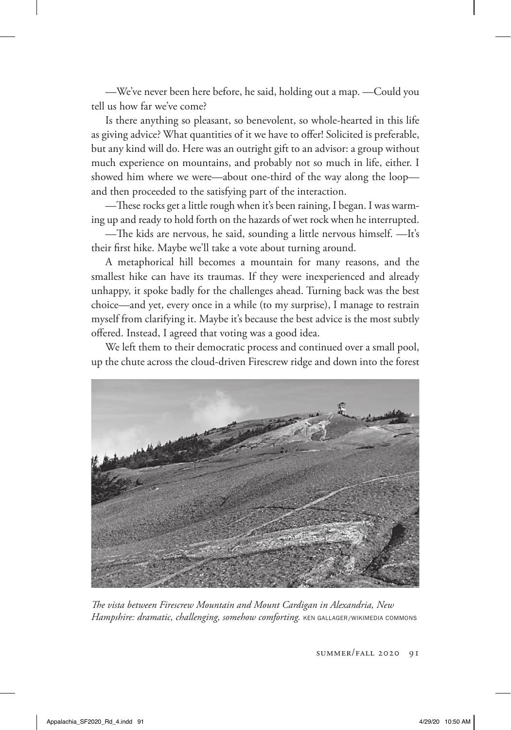—We've never been here before, he said, holding out a map. —Could you tell us how far we've come?

Is there anything so pleasant, so benevolent, so whole-hearted in this life as giving advice? What quantities of it we have to offer! Solicited is preferable, but any kind will do. Here was an outright gift to an advisor: a group without much experience on mountains, and probably not so much in life, either. I showed him where we were—about one-third of the way along the loop and then proceeded to the satisfying part of the interaction.

—These rocks get a little rough when it's been raining, I began. I was warming up and ready to hold forth on the hazards of wet rock when he interrupted.

—The kids are nervous, he said, sounding a little nervous himself. —It's their first hike. Maybe we'll take a vote about turning around.

A metaphorical hill becomes a mountain for many reasons, and the smallest hike can have its traumas. If they were inexperienced and already unhappy, it spoke badly for the challenges ahead. Turning back was the best choice—and yet, every once in a while (to my surprise), I manage to restrain myself from clarifying it. Maybe it's because the best advice is the most subtly offered. Instead, I agreed that voting was a good idea.

We left them to their democratic process and continued over a small pool, up the chute across the cloud-driven Firescrew ridge and down into the forest



*The vista between Firescrew Mountain and Mount Cardigan in Alexandria, New*  Hampshire: dramatic, challenging, somehow comforting. KEN GALLAGER/WIKIMEDIA COMMONS